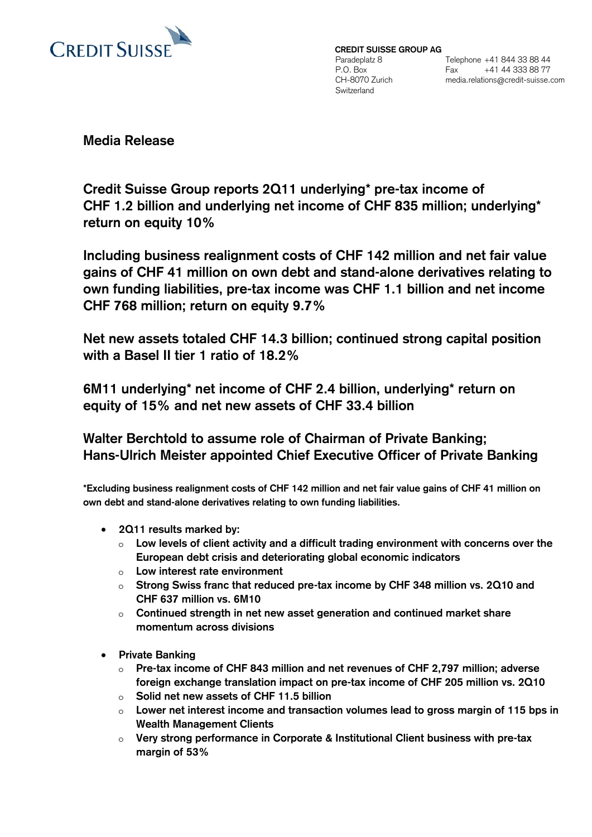

**CREDIT SUISSE GROUP AG**  Paradeplatz 8 P.O. Box CH-8070 Zurich Switzerland

Telephone +41 844 33 88 44 Fax +41 44 333 88 77 media.relations@credit-suisse.com

**Media Release**

**Credit Suisse Group reports 2Q11 underlying\* pre-tax income of CHF 1.2 billion and underlying net income of CHF 835 million; underlying\* return on equity 10%** 

**Including business realignment costs of CHF 142 million and net fair value gains of CHF 41 million on own debt and stand-alone derivatives relating to own funding liabilities, pre-tax income was CHF 1.1 billion and net income CHF 768 million; return on equity 9.7%** 

**Net new assets totaled CHF 14.3 billion; continued strong capital position with a Basel II tier 1 ratio of 18.2%** 

**6M11 underlying\* net income of CHF 2.4 billion, underlying\* return on equity of 15% and net new assets of CHF 33.4 billion** 

**Walter Berchtold to assume role of Chairman of Private Banking; Hans-Ulrich Meister appointed Chief Executive Officer of Private Banking** 

**\*Excluding business realignment costs of CHF 142 million and net fair value gains of CHF 41 million on own debt and stand-alone derivatives relating to own funding liabilities.** 

- y **2Q11 results marked by:** 
	- o **Low levels of client activity and a difficult trading environment with concerns over the European debt crisis and deteriorating global economic indicators**
	- o **Low interest rate environment**
	- o **Strong Swiss franc that reduced pre-tax income by CHF 348 million vs. 2Q10 and CHF 637 million vs. 6M10**
	- o **Continued strength in net new asset generation and continued market share momentum across divisions**
- **•** Private Banking
	- o **Pre-tax income of CHF 843 million and net revenues of CHF 2,797 million; adverse foreign exchange translation impact on pre-tax income of CHF 205 million vs. 2Q10**
	- o **Solid net new assets of CHF 11.5 billion**
	- o **Lower net interest income and transaction volumes lead to gross margin of 115 bps in Wealth Management Clients**
	- o **Very strong performance in Corporate & Institutional Client business with pre-tax margin of 53%**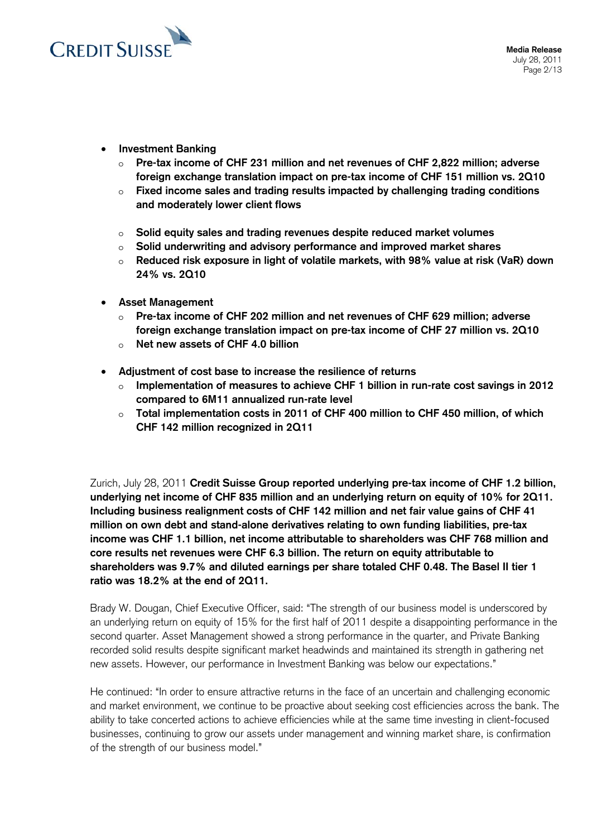

- **Investment Banking** 
	- o **Pre-tax income of CHF 231 million and net revenues of CHF 2,822 million; adverse foreign exchange translation impact on pre-tax income of CHF 151 million vs. 2Q10**
	- o **Fixed income sales and trading results impacted by challenging trading conditions and moderately lower client flows**
	- o **Solid equity sales and trading revenues despite reduced market volumes**
	- o **Solid underwriting and advisory performance and improved market shares**
	- o **Reduced risk exposure in light of volatile markets, with 98% value at risk (VaR) down 24% vs. 2Q10**
- y **Asset Management** 
	- o **Pre-tax income of CHF 202 million and net revenues of CHF 629 million; adverse foreign exchange translation impact on pre-tax income of CHF 27 million vs. 2Q10**
	- o **Net new assets of CHF 4.0 billion**
- y **Adjustment of cost base to increase the resilience of returns** 
	- o **Implementation of measures to achieve CHF 1 billion in run-rate cost savings in 2012 compared to 6M11 annualized run-rate level**
	- o **Total implementation costs in 2011 of CHF 400 million to CHF 450 million, of which CHF 142 million recognized in 2Q11**

Zurich, July 28, 2011 **Credit Suisse Group reported underlying pre-tax income of CHF 1.2 billion, underlying net income of CHF 835 million and an underlying return on equity of 10% for 2Q11. Including business realignment costs of CHF 142 million and net fair value gains of CHF 41 million on own debt and stand-alone derivatives relating to own funding liabilities, pre-tax income was CHF 1.1 billion, net income attributable to shareholders was CHF 768 million and core results net revenues were CHF 6.3 billion. The return on equity attributable to shareholders was 9.7% and diluted earnings per share totaled CHF 0.48. The Basel II tier 1 ratio was 18.2% at the end of 2Q11.** 

Brady W. Dougan, Chief Executive Officer, said: "The strength of our business model is underscored by an underlying return on equity of 15% for the first half of 2011 despite a disappointing performance in the second quarter. Asset Management showed a strong performance in the quarter, and Private Banking recorded solid results despite significant market headwinds and maintained its strength in gathering net new assets. However, our performance in Investment Banking was below our expectations."

He continued: "In order to ensure attractive returns in the face of an uncertain and challenging economic and market environment, we continue to be proactive about seeking cost efficiencies across the bank. The ability to take concerted actions to achieve efficiencies while at the same time investing in client-focused businesses, continuing to grow our assets under management and winning market share, is confirmation of the strength of our business model."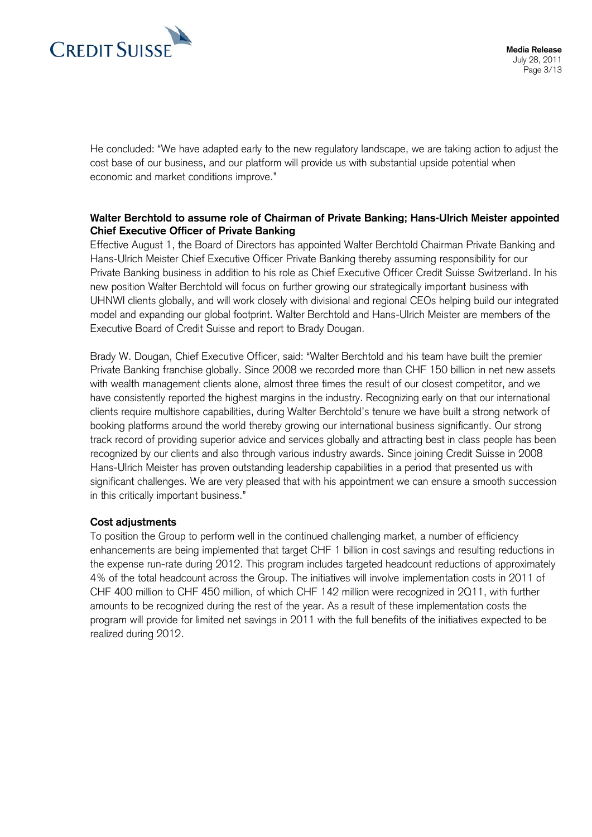

He concluded: "We have adapted early to the new regulatory landscape, we are taking action to adjust the cost base of our business, and our platform will provide us with substantial upside potential when economic and market conditions improve."

## **Walter Berchtold to assume role of Chairman of Private Banking; Hans-Ulrich Meister appointed Chief Executive Officer of Private Banking**

Effective August 1, the Board of Directors has appointed Walter Berchtold Chairman Private Banking and Hans-Ulrich Meister Chief Executive Officer Private Banking thereby assuming responsibility for our Private Banking business in addition to his role as Chief Executive Officer Credit Suisse Switzerland. In his new position Walter Berchtold will focus on further growing our strategically important business with UHNWI clients globally, and will work closely with divisional and regional CEOs helping build our integrated model and expanding our global footprint. Walter Berchtold and Hans-Ulrich Meister are members of the Executive Board of Credit Suisse and report to Brady Dougan.

Brady W. Dougan, Chief Executive Officer, said: "Walter Berchtold and his team have built the premier Private Banking franchise globally. Since 2008 we recorded more than CHF 150 billion in net new assets with wealth management clients alone, almost three times the result of our closest competitor, and we have consistently reported the highest margins in the industry. Recognizing early on that our international clients require multishore capabilities, during Walter Berchtold's tenure we have built a strong network of booking platforms around the world thereby growing our international business significantly. Our strong track record of providing superior advice and services globally and attracting best in class people has been recognized by our clients and also through various industry awards. Since joining Credit Suisse in 2008 Hans-Ulrich Meister has proven outstanding leadership capabilities in a period that presented us with significant challenges. We are very pleased that with his appointment we can ensure a smooth succession in this critically important business."

## **Cost adjustments**

To position the Group to perform well in the continued challenging market, a number of efficiency enhancements are being implemented that target CHF 1 billion in cost savings and resulting reductions in the expense run-rate during 2012. This program includes targeted headcount reductions of approximately 4% of the total headcount across the Group. The initiatives will involve implementation costs in 2011 of CHF 400 million to CHF 450 million, of which CHF 142 million were recognized in 2Q11, with further amounts to be recognized during the rest of the year. As a result of these implementation costs the program will provide for limited net savings in 2011 with the full benefits of the initiatives expected to be realized during 2012.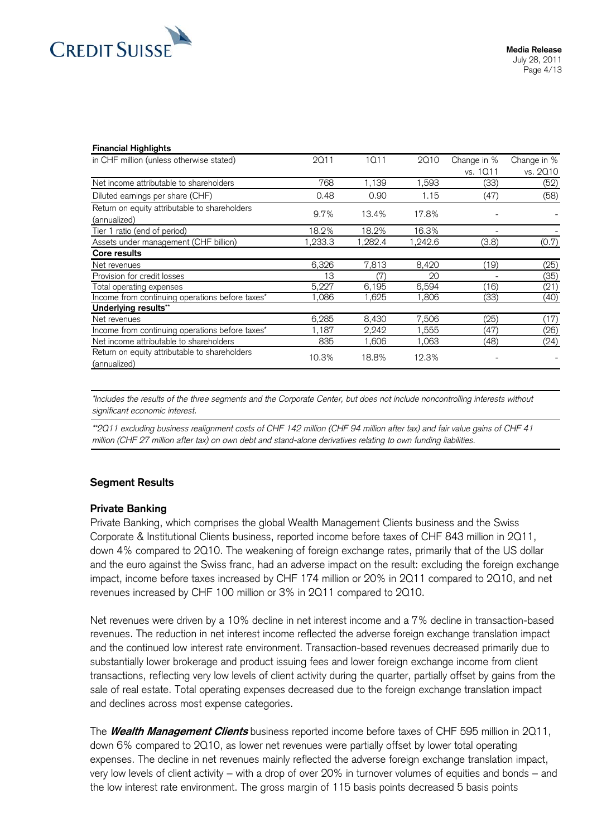

#### **Financial Highlights**

| in CHF million (unless otherwise stated)                      | 2011    | 1011    | 2010    | Change in % | Change in % |
|---------------------------------------------------------------|---------|---------|---------|-------------|-------------|
|                                                               |         |         |         | vs. 1011    | vs. 2010    |
| Net income attributable to shareholders                       | 768     | 1,139   | 1,593   | (33)        | (52)        |
| Diluted earnings per share (CHF)                              | 0.48    | 0.90    | 1.15    | (47)        | (58)        |
| Return on equity attributable to shareholders<br>(annualized) | 9.7%    | 13.4%   | 17.8%   |             |             |
| Tier 1 ratio (end of period)                                  | 18.2%   | 18.2%   | 16.3%   |             |             |
| Assets under management (CHF billion)                         | 1,233.3 | 1,282.4 | 1,242.6 | (3.8)       | (0.7)       |
| Core results                                                  |         |         |         |             |             |
| Net revenues                                                  | 6,326   | 7,813   | 8,420   | (19)        | (25)        |
| Provision for credit losses                                   | ıз      | (7)     | 20      |             | (35)        |
| Total operating expenses                                      | 5,227   | 6,195   | 6,594   | (16)        | (21)        |
| Income from continuing operations before taxes*               | ,086    | .625    | ,806    | (33)        | (40)        |
| Underlying results**                                          |         |         |         |             |             |
| Net revenues                                                  | 6,285   | 8,430   | 7,506   | (25)        | (17)        |
| Income from continuing operations before taxes*               | 1,187   | 2,242   | 1,555   | (47)        | (26)        |
| Net income attributable to shareholders                       | 835     | 1,606   | 1,063   | (48)        | (24)        |
| Return on equity attributable to shareholders<br>(annualized) | 10.3%   | 18.8%   | 12.3%   |             |             |

*\*Includes the results of the three segments and the Corporate Center, but does not include noncontrolling interests without significant economic interest.* 

*\*\*2Q11 excluding business realignment costs of CHF 142 million (CHF 94 million after tax) and fair value gains of CHF 41 million (CHF 27 million after tax) on own debt and stand-alone derivatives relating to own funding liabilities.*

### **Segment Results**

### **Private Banking**

Private Banking, which comprises the global Wealth Management Clients business and the Swiss Corporate & Institutional Clients business, reported income before taxes of CHF 843 million in 2Q11, down 4% compared to 2Q10. The weakening of foreign exchange rates, primarily that of the US dollar and the euro against the Swiss franc, had an adverse impact on the result: excluding the foreign exchange impact, income before taxes increased by CHF 174 million or 20% in 2Q11 compared to 2Q10, and net revenues increased by CHF 100 million or 3% in 2Q11 compared to 2Q10.

Net revenues were driven by a 10% decline in net interest income and a 7% decline in transaction-based revenues. The reduction in net interest income reflected the adverse foreign exchange translation impact and the continued low interest rate environment. Transaction-based revenues decreased primarily due to substantially lower brokerage and product issuing fees and lower foreign exchange income from client transactions, reflecting very low levels of client activity during the quarter, partially offset by gains from the sale of real estate. Total operating expenses decreased due to the foreign exchange translation impact and declines across most expense categories.

The **Wealth Management Clients** business reported income before taxes of CHF 595 million in 2Q11, down 6% compared to 2Q10, as lower net revenues were partially offset by lower total operating expenses. The decline in net revenues mainly reflected the adverse foreign exchange translation impact, very low levels of client activity  $-$  with a drop of over 20% in turnover volumes of equities and bonds  $-$  and the low interest rate environment. The gross margin of 115 basis points decreased 5 basis points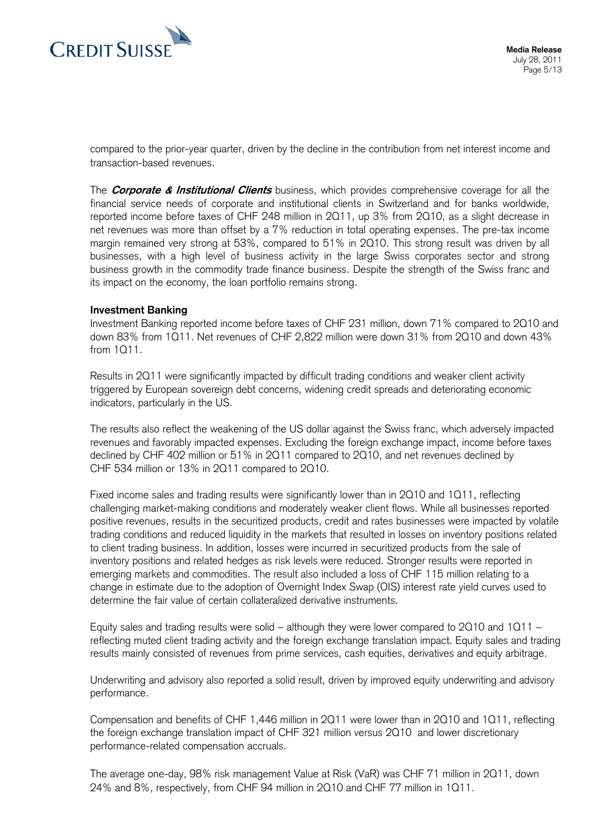

compared to the prior-year quarter, driven by the decline in the contribution from net interest income and transaction-based revenues.

The **Corporate & Institutional Clients** business, which provides comprehensive coverage for all the financial service needs of corporate and institutional clients in Switzerland and for banks worldwide, reported income before taxes of CHF 248 million in 2Q11, up 3% from 2Q10, as a slight decrease in net revenues was more than offset by a 7% reduction in total operating expenses. The pre-tax income margin remained very strong at 53%, compared to 51% in 2Q10. This strong result was driven by all businesses, with a high level of business activity in the large Swiss corporates sector and strong business growth in the commodity trade finance business. Despite the strength of the Swiss franc and its impact on the economy, the loan portfolio remains strong.

### **Investment Banking**

Investment Banking reported income before taxes of CHF 231 million, down 71% compared to 2Q10 and down 83% from 1Q11. Net revenues of CHF 2,822 million were down 31% from 2Q10 and down 43% from 1Q11.

Results in 2Q11 were significantly impacted by difficult trading conditions and weaker client activity triggered by European sovereign debt concerns, widening credit spreads and deteriorating economic indicators, particularly in the US.

The results also reflect the weakening of the US dollar against the Swiss franc, which adversely impacted revenues and favorably impacted expenses. Excluding the foreign exchange impact, income before taxes declined by CHF 402 million or 51% in 2Q11 compared to 2Q10, and net revenues declined by CHF 534 million or 13% in 2Q11 compared to 2Q10.

Fixed income sales and trading results were significantly lower than in 2Q10 and 1Q11, reflecting challenging market-making conditions and moderately weaker client flows. While all businesses reported positive revenues, results in the securitized products, credit and rates businesses were impacted by volatile trading conditions and reduced liquidity in the markets that resulted in losses on inventory positions related to client trading business. In addition, losses were incurred in securitized products from the sale of inventory positions and related hedges as risk levels were reduced. Stronger results were reported in emerging markets and commodities. The result also included a loss of CHF 115 million relating to a change in estimate due to the adoption of Overnight Index Swap (OIS) interest rate yield curves used to determine the fair value of certain collateralized derivative instruments.

Equity sales and trading results were solid – although they were lower compared to 2Q10 and  $1Q11$  – reflecting muted client trading activity and the foreign exchange translation impact. Equity sales and trading results mainly consisted of revenues from prime services, cash equities, derivatives and equity arbitrage.

Underwriting and advisory also reported a solid result, driven by improved equity underwriting and advisory performance.

Compensation and benefits of CHF 1,446 million in 2Q11 were lower than in 2Q10 and 1Q11, reflecting the foreign exchange translation impact of CHF 321 million versus 2Q10 and lower discretionary performance-related compensation accruals.

The average one-day, 98% risk management Value at Risk (VaR) was CHF 71 million in 2Q11, down 24% and 8%, respectively, from CHF 94 million in 2Q10 and CHF 77 million in 1Q11.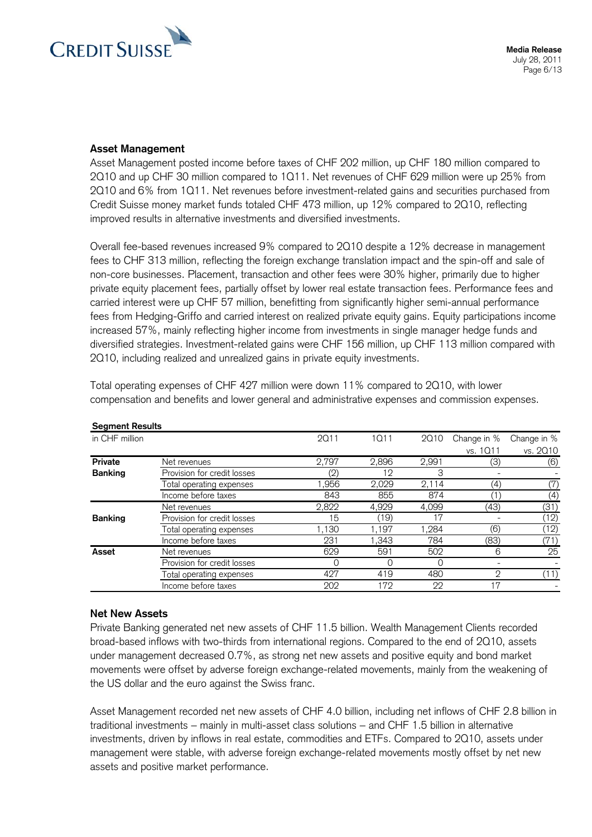

## **Asset Management**

Asset Management posted income before taxes of CHF 202 million, up CHF 180 million compared to 2Q10 and up CHF 30 million compared to 1Q11. Net revenues of CHF 629 million were up 25% from 2Q10 and 6% from 1Q11. Net revenues before investment-related gains and securities purchased from Credit Suisse money market funds totaled CHF 473 million, up 12% compared to 2Q10, reflecting improved results in alternative investments and diversified investments.

Overall fee-based revenues increased 9% compared to 2Q10 despite a 12% decrease in management fees to CHF 313 million, reflecting the foreign exchange translation impact and the spin-off and sale of non-core businesses. Placement, transaction and other fees were 30% higher, primarily due to higher private equity placement fees, partially offset by lower real estate transaction fees. Performance fees and carried interest were up CHF 57 million, benefitting from significantly higher semi-annual performance fees from Hedging-Griffo and carried interest on realized private equity gains. Equity participations income increased 57%, mainly reflecting higher income from investments in single manager hedge funds and diversified strategies. Investment-related gains were CHF 156 million, up CHF 113 million compared with 2Q10, including realized and unrealized gains in private equity investments.

| <b>Segment Results</b> |                             |             |       |       |                |             |
|------------------------|-----------------------------|-------------|-------|-------|----------------|-------------|
| in CHF million         |                             | <b>2Q11</b> | 1011  | 2010  | Change in %    | Change in % |
|                        |                             |             |       |       | vs. 1011       | vs. 2010    |
| <b>Private</b>         | Net revenues                | 2,797       | 2,896 | 2,991 | (3)            | (6)         |
| <b>Banking</b>         | Provision for credit losses | (2)         | 12    | 3     |                |             |
|                        | Total operating expenses    | ,956        | 2,029 | 2,114 | (4)            | (7)         |
|                        | Income before taxes         | 843         | 855   | 874   | 1              | (4)         |
|                        | Net revenues                | 2,822       | 4,929 | 4,099 | (43)           | (31)        |
| <b>Banking</b>         | Provision for credit losses | 15          | (19)  | 17    |                | (12)        |
|                        | Total operating expenses    | ,130        | ,197  | 1,284 | (6)            | (12)        |
|                        | Income before taxes         | 231         | 1.343 | 784   | (83)           | (71)        |
| Asset                  | Net revenues                | 629         | 591   | 502   | 6              | 25          |
|                        | Provision for credit losses | ∩           | 0     | 0     |                |             |
|                        | Total operating expenses    | 427         | 419   | 480   | $\overline{2}$ |             |
|                        | Income before taxes         | 202         | 172   | 22    | 17             |             |

Total operating expenses of CHF 427 million were down 11% compared to 2Q10, with lower compensation and benefits and lower general and administrative expenses and commission expenses.

## **Net New Assets**

Private Banking generated net new assets of CHF 11.5 billion. Wealth Management Clients recorded broad-based inflows with two-thirds from international regions. Compared to the end of 2Q10, assets under management decreased 0.7%, as strong net new assets and positive equity and bond market movements were offset by adverse foreign exchange-related movements, mainly from the weakening of the US dollar and the euro against the Swiss franc.

Asset Management recorded net new assets of CHF 4.0 billion, including net inflows of CHF 2.8 billion in traditional investments - mainly in multi-asset class solutions - and CHF 1.5 billion in alternative investments, driven by inflows in real estate, commodities and ETFs. Compared to 2Q10, assets under management were stable, with adverse foreign exchange-related movements mostly offset by net new assets and positive market performance.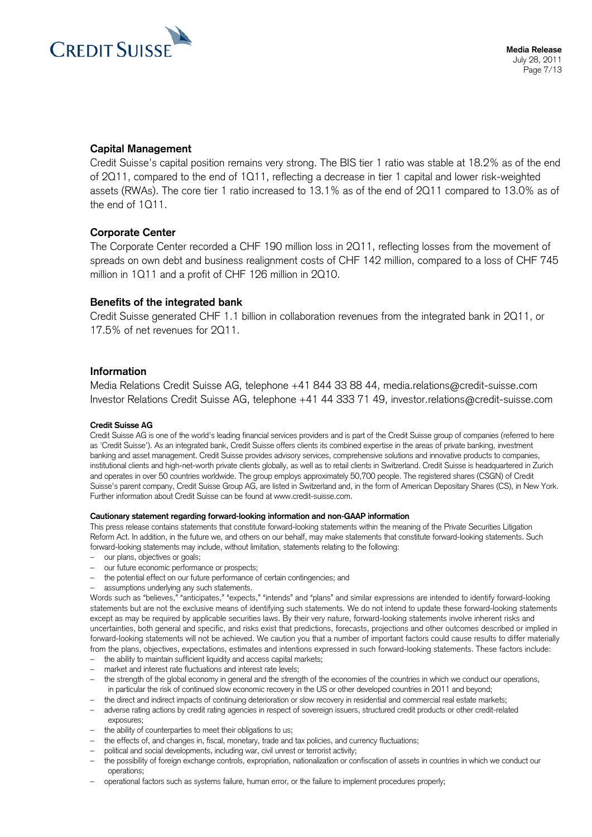

## **Capital Management**

Credit Suisse's capital position remains very strong. The BIS tier 1 ratio was stable at 18.2% as of the end of 2Q11, compared to the end of 1Q11, reflecting a decrease in tier 1 capital and lower risk-weighted assets (RWAs). The core tier 1 ratio increased to 13.1% as of the end of 2Q11 compared to 13.0% as of the end of 1Q11.

## **Corporate Center**

The Corporate Center recorded a CHF 190 million loss in 2Q11, reflecting losses from the movement of spreads on own debt and business realignment costs of CHF 142 million, compared to a loss of CHF 745 million in 1Q11 and a profit of CHF 126 million in 2Q10.

### **Benefits of the integrated bank**

Credit Suisse generated CHF 1.1 billion in collaboration revenues from the integrated bank in 2Q11, or 17.5% of net revenues for 2Q11.

#### **Information**

Media Relations Credit Suisse AG, telephone +41 844 33 88 44, [media.relations@credit-suisse.com](mailto:media.relations@credit-suisse.com)  Investor Relations Credit Suisse AG, telephone +41 44 333 71 49, [investor.relations@credit-suisse.com](mailto:investor.relations@credit-suisse.com) 

#### **Credit Suisse AG**

Credit Suisse AG is one of the world's leading financial services providers and is part of the Credit Suisse group of companies (referred to here as 'Credit Suisse'). As an integrated bank, Credit Suisse offers clients its combined expertise in the areas of private banking, investment banking and asset management. Credit Suisse provides advisory services, comprehensive solutions and innovative products to companies, institutional clients and high-net-worth private clients globally, as well as to retail clients in Switzerland. Credit Suisse is headquartered in Zurich and operates in over 50 countries worldwide. The group employs approximately 50,700 people. The registered shares (CSGN) of Credit Suisse's parent company, Credit Suisse Group AG, are listed in Switzerland and, in the form of American Depositary Shares (CS), in New York. Further information about Credit Suisse can be found at [www.credit-suisse.com](http://www.credit-suisse.com/).

#### **Cautionary statement regarding forward-looking information and non-GAAP information**

This press release contains statements that constitute forward-looking statements within the meaning of the Private Securities Litigation Reform Act. In addition, in the future we, and others on our behalf, may make statements that constitute forward-looking statements. Such forward-looking statements may include, without limitation, statements relating to the following:

- our plans, objectives or goals;
- our future economic performance or prospects;
- the potential effect on our future performance of certain contingencies; and
- assumptions underlying any such statements.

Words such as "believes," "anticipates," "expects," "intends" and "plans" and similar expressions are intended to identify forward-looking statements but are not the exclusive means of identifying such statements. We do not intend to update these forward-looking statements except as may be required by applicable securities laws. By their very nature, forward-looking statements involve inherent risks and uncertainties, both general and specific, and risks exist that predictions, forecasts, projections and other outcomes described or implied in forward-looking statements will not be achieved. We caution you that a number of important factors could cause results to differ materially from the plans, objectives, expectations, estimates and intentions expressed in such forward-looking statements. These factors include:

- the ability to maintain sufficient liquidity and access capital markets;
- market and interest rate fluctuations and interest rate levels;
- the strength of the global economy in general and the strength of the economies of the countries in which we conduct our operations, in particular the risk of continued slow economic recovery in the US or other developed countries in 2011 and beyond;
- the direct and indirect impacts of continuing deterioration or slow recovery in residential and commercial real estate markets;
- adverse rating actions by credit rating agencies in respect of sovereign issuers, structured credit products or other credit-related exposures;
- the ability of counterparties to meet their obligations to us;
- the effects of, and changes in, fiscal, monetary, trade and tax policies, and currency fluctuations;
- political and social developments, including war, civil unrest or terrorist activity;
- the possibility of foreign exchange controls, expropriation, nationalization or confiscation of assets in countries in which we conduct our operations;
- operational factors such as systems failure, human error, or the failure to implement procedures properly;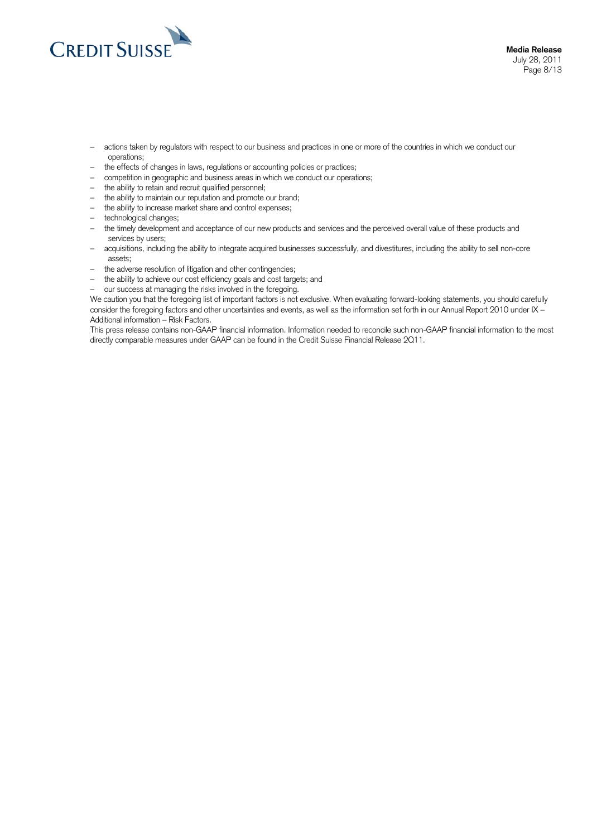

- actions taken by regulators with respect to our business and practices in one or more of the countries in which we conduct our operations;
- the effects of changes in laws, regulations or accounting policies or practices;
- competition in geographic and business areas in which we conduct our operations;
- the ability to retain and recruit qualified personnel;
- the ability to maintain our reputation and promote our brand;
- the ability to increase market share and control expenses;
- technological changes;
- the timely development and acceptance of our new products and services and the perceived overall value of these products and services by users;
- acquisitions, including the ability to integrate acquired businesses successfully, and divestitures, including the ability to sell non-core assets;
- the adverse resolution of litigation and other contingencies;
- the ability to achieve our cost efficiency goals and cost targets; and
- our success at managing the risks involved in the foregoing.

We caution you that the foregoing list of important factors is not exclusive. When evaluating forward-looking statements, you should carefully consider the foregoing factors and other uncertainties and events, as well as the information set forth in our Annual Report 2010 under IX – Additional information – Risk Factors.

This press release contains non-GAAP financial information. Information needed to reconcile such non-GAAP financial information to the most directly comparable measures under GAAP can be found in the Credit Suisse Financial Release 2Q11.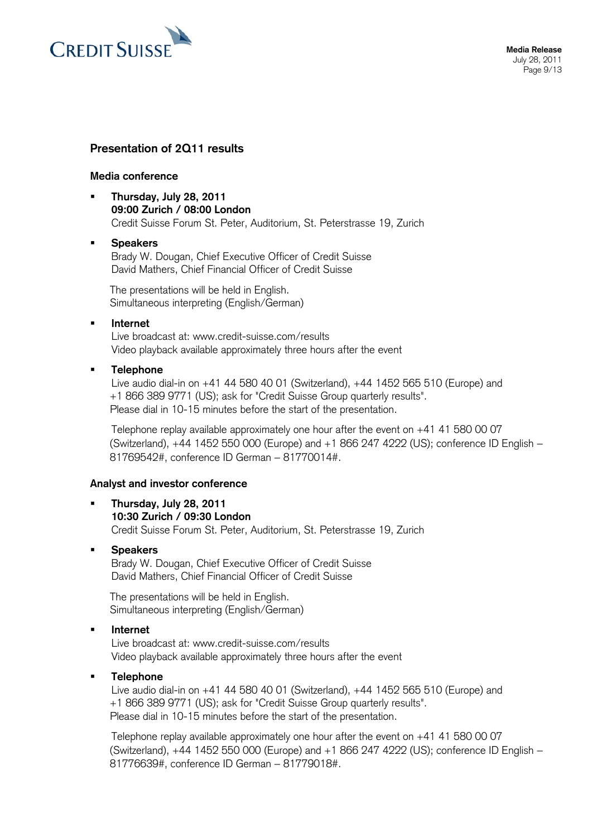

## **Presentation of 2Q11 results**

### **Media conference**

 **Thursday, July 28, 2011 09:00 Zurich / 08:00 London**  Credit Suisse Forum St. Peter, Auditorium, St. Peterstrasse 19, Zurich

## **Speakers**

Brady W. Dougan, Chief Executive Officer of Credit Suisse David Mathers, Chief Financial Officer of Credit Suisse

The presentations will be held in English. Simultaneous interpreting (English/German)

## **Internet**

Live broadcast at: [www.credit-suisse.com/results](http://www.credit-suisse.com/results)  Video playback available approximately three hours after the event

## **Telephone**

 Live audio dial-in on +41 44 580 40 01 (Switzerland), +44 1452 565 510 (Europe) and +1 866 389 9771 (US); ask for "Credit Suisse Group quarterly results". Please dial in 10-15 minutes before the start of the presentation.

 Telephone replay available approximately one hour after the event on +41 41 580 00 07 (Switzerland), +44 1452 550 000 (Europe) and +1 866 247 4222 (US); conference ID English 81769542#, conference ID German - 81770014#.

## **Analyst and investor conference**

 **Thursday, July 28, 2011 10:30 Zurich / 09:30 London**  Credit Suisse Forum St. Peter, Auditorium, St. Peterstrasse 19, Zurich

## **Speakers**

Brady W. Dougan, Chief Executive Officer of Credit Suisse David Mathers, Chief Financial Officer of Credit Suisse

The presentations will be held in English. Simultaneous interpreting (English/German)

### **Internet**

Live broadcast at: [www.credit-suisse.com/results](http://www.credit-suisse.com/results)  Video playback available approximately three hours after the event

## **Telephone**

 Live audio dial-in on +41 44 580 40 01 (Switzerland), +44 1452 565 510 (Europe) and +1 866 389 9771 (US); ask for "Credit Suisse Group quarterly results". Please dial in 10-15 minutes before the start of the presentation.

 Telephone replay available approximately one hour after the event on +41 41 580 00 07 (Switzerland), +44 1452 550 000 (Europe) and +1 866 247 4222 (US); conference ID English 81776639#, conference ID German - 81779018#.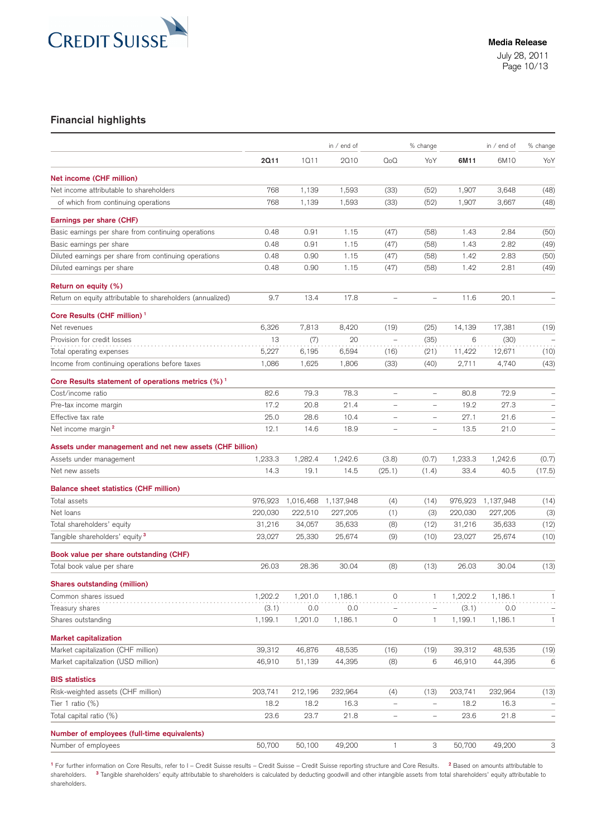

## **Financial highlights**

|                                                                                    |         |           | in / end of |                          | % change                 |         | in $/$ end of | % change                 |
|------------------------------------------------------------------------------------|---------|-----------|-------------|--------------------------|--------------------------|---------|---------------|--------------------------|
|                                                                                    | 2011    | 1011      | 2010        | QoQ                      | YoY                      | 6M11    | 6M10          | YoY                      |
| Net income (CHF million)                                                           |         |           |             |                          |                          |         |               |                          |
| Net income attributable to shareholders                                            | 768     | 1,139     | 1,593       | (33)                     | (52)                     | 1,907   | 3,648         | (48)                     |
| of which from continuing operations                                                | 768     | 1,139     | 1,593       | (33)                     | (52)                     | 1,907   | 3,667         | (48)                     |
| Earnings per share (CHF)                                                           |         |           |             |                          |                          |         |               |                          |
| Basic earnings per share from continuing operations                                | 0.48    | 0.91      | 1.15        | (47)                     | (58)                     | 1.43    | 2.84          | (50)                     |
| Basic earnings per share                                                           | 0.48    | 0.91      | 1.15        | (47)                     | (58)                     | 1.43    | 2.82          | (49)                     |
| Diluted earnings per share from continuing operations                              | 0.48    | 0.90      | 1.15        | (47)                     | (58)                     | 1.42    | 2.83          | (50)                     |
| Diluted earnings per share                                                         | 0.48    | 0.90      | 1.15        | (47)                     | (58)                     | 1.42    | 2.81          | (49)                     |
|                                                                                    |         |           |             |                          |                          |         |               |                          |
| Return on equity (%)<br>Return on equity attributable to shareholders (annualized) | 9.7     | 13.4      | 17.8        | $\qquad \qquad -$        | $\overline{\phantom{0}}$ | 11.6    | 20.1          | $\qquad \qquad -$        |
|                                                                                    |         |           |             |                          |                          |         |               |                          |
| Core Results (CHF million) <sup>1</sup><br>Net revenues                            | 6,326   | 7,813     | 8,420       | (19)                     | (25)                     | 14,139  | 17,381        |                          |
| Provision for credit losses                                                        | 13      | (7)       | 20          | $\qquad \qquad -$        | (35)                     | 6       | (30)          | (19)                     |
| Total operating expenses                                                           | 5,227   | 6,195     | 6,594       | (16)                     | (21)                     | 11,422  | 12,671        | (10)                     |
| Income from continuing operations before taxes                                     | 1,086   | 1,625     | 1,806       | (33)                     | (40)                     | 2,711   | 4,740         | (43)                     |
|                                                                                    |         |           |             |                          |                          |         |               |                          |
| Core Results statement of operations metrics (%) <sup>1</sup>                      |         |           |             |                          |                          |         |               |                          |
| Cost/income ratio                                                                  | 82.6    | 79.3      | 78.3        | $\overline{\phantom{a}}$ | $\overline{\phantom{0}}$ | 80.8    | 72.9          | -                        |
| Pre-tax income margin                                                              | 17.2    | 20.8      | 21.4        | $\overline{\phantom{0}}$ | $\overline{\phantom{0}}$ | 19.2    | 27.3          | $\qquad \qquad -$        |
| Effective tax rate                                                                 | 25.0    | 28.6      | 10.4        | $\overline{\phantom{0}}$ | $\overline{\phantom{0}}$ | 27.1    | 21.6          |                          |
| Net income margin <sup>2</sup>                                                     | 12.1    | 14.6      | 18.9        | $\overline{\phantom{a}}$ | $\overline{\phantom{0}}$ | 13.5    | 21.0          | $\overline{\phantom{0}}$ |
| Assets under management and net new assets (CHF billion)                           |         |           |             |                          |                          |         |               |                          |
| Assets under management                                                            | 1,233.3 | 1,282.4   | 1,242.6     | (3.8)                    | (0.7)                    | 1,233.3 | 1,242.6       | (0.7)                    |
| Net new assets                                                                     | 14.3    | 19.1      | 14.5        | (25.1)                   | (1.4)                    | 33.4    | 40.5          | (17.5)                   |
| <b>Balance sheet statistics (CHF million)</b>                                      |         |           |             |                          |                          |         |               |                          |
| Total assets                                                                       | 976,923 | 1,016,468 | 1,137,948   | (4)                      | (14)                     | 976,923 | 1,137,948     | (14)                     |
| Net loans                                                                          | 220,030 | 222,510   | 227,205     | (1)                      | (3)                      | 220,030 | 227,205       | (3)                      |
| Total shareholders' equity                                                         | 31,216  | 34,057    | 35,633      | (8)                      | (12)                     | 31,216  | 35,633        | (12)                     |
| Tangible shareholders' equity <sup>3</sup>                                         | 23,027  | 25,330    | 25,674      | (9)                      | (10)                     | 23,027  | 25,674        | (10)                     |
| Book value per share outstanding (CHF)                                             |         |           |             |                          |                          |         |               |                          |
| Total book value per share                                                         | 26.03   | 28.36     | 30.04       | (8)                      | (13)                     | 26.03   | 30.04         | (13)                     |
| Shares outstanding (million)                                                       |         |           |             |                          |                          |         |               |                          |
| Common shares issued                                                               | 1,202.2 | 1,201.0   | 1,186.1     | 0                        | 1                        | 1,202.2 | 1,186.1       | 1                        |
| Treasury shares                                                                    | (3.1)   | $0.0\,$   | 0.0         |                          |                          | (3.1)   | 0.0           | -                        |
| Shares outstanding                                                                 | 1,199.1 | 1,201.0   | 1,186.1     | 0                        | 1                        | 1,199.1 | 1,186.1       | 1                        |
| <b>Market capitalization</b>                                                       |         |           |             |                          |                          |         |               |                          |
| Market capitalization (CHF million)                                                | 39,312  | 46,876    | 48,535      | (16)                     | (19)                     | 39,312  | 48,535        | (19)                     |
| Market capitalization (USD million)                                                | 46,910  | 51,139    | 44,395      | (8)                      | 6                        | 46,910  | 44,395        | 6                        |
| <b>BIS statistics</b>                                                              |         |           |             |                          |                          |         |               |                          |
| Risk-weighted assets (CHF million)                                                 | 203,741 | 212,196   | 232,964     | (4)                      | (13)                     | 203,741 | 232,964       | (13)                     |
| Tier 1 ratio (%)                                                                   | 18.2    | 18.2      | 16.3        | $\qquad \qquad -$        | $\qquad \qquad -$        | 18.2    | 16.3          | $\overline{\phantom{0}}$ |
| Total capital ratio (%)                                                            | 23.6    | 23.7      | 21.8        | $\overline{\phantom{0}}$ | $\qquad \qquad -$        | 23.6    | 21.8          | $\qquad \qquad -$        |
| Number of employees (full-time equivalents)                                        |         |           |             |                          |                          |         |               |                          |
| Number of employees                                                                | 50,700  | 50,100    | 49,200      | 1                        | З                        | 50,700  | 49,200        | 3                        |

**<sup>1</sup>** For further information on Core Results, refer to I – Credit Suisse results – Credit Suisse – Credit Suisse reporting structure and Core Results. **<sup>2</sup>** Based on amounts attributable to shareholders. <sup>3</sup> Tangible shareholders' equity attributable to shareholders is calculated by deducting goodwill and other intangible assets from total shareholders' equity attributable to shareholders.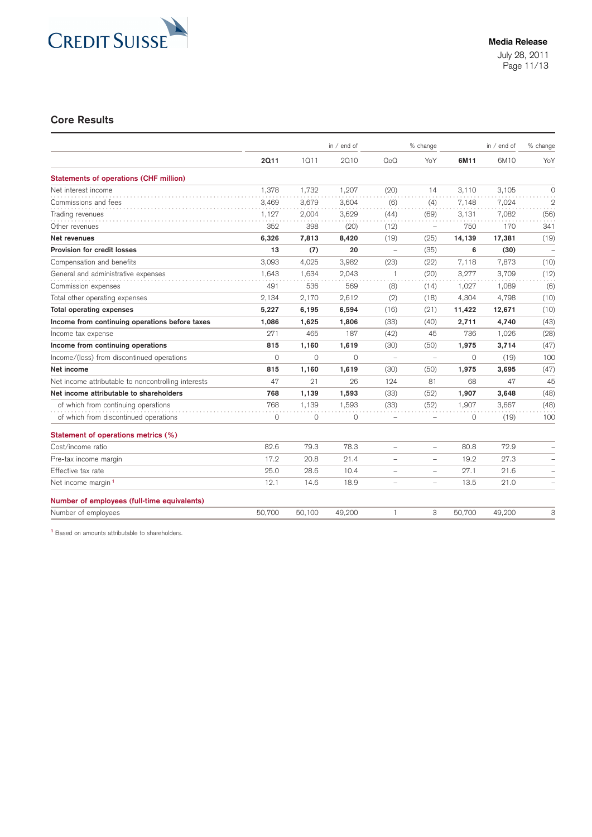

### **Core Results**

|                                                     |         |         | in $/$ end of |                          | % change                 |          | in $/$ end of | % change          |
|-----------------------------------------------------|---------|---------|---------------|--------------------------|--------------------------|----------|---------------|-------------------|
|                                                     | 2011    | 1011    | 2010          | QoQ                      | YoY                      | 6M11     | 6M10          | YoY               |
| <b>Statements of operations (CHF million)</b>       |         |         |               |                          |                          |          |               |                   |
| Net interest income                                 | 1,378   | 1,732   | 1,207         | (20)                     | 14                       | 3,110    | 3,105         | $\circ$           |
| Commissions and fees                                | 3,469   | 3,679   | 3,604         | (6)                      | (4)                      | 7,148    | 7,024         | $\mathbf{2}$      |
| Trading revenues                                    | 1,127   | 2,004   | 3,629         | (44)                     | (69)                     | 3,131    | 7,082         | (56)              |
| Other revenues                                      | 352     | 398     | (20)          | (12)                     | $\equiv$                 | 750      | 170           | 341               |
| Net revenues                                        | 6,326   | 7,813   | 8,420         | (19)                     | (25)                     | 14,139   | 17,381        | (19)              |
| Provision for credit losses                         | 13      | (7)     | 20            | $\qquad \qquad -$        | (35)                     | 6        | (30)          |                   |
| Compensation and benefits                           | 3,093   | 4,025   | 3,982         | (23)                     | (22)                     | 7,118    | 7,873         | (10)              |
| General and administrative expenses                 | 1.643   | 1,634   | 2.043         | $\mathbf{1}$             | (20)                     | 3,277    | 3,709         | (12)              |
| Commission expenses                                 | 491     | 536     | 569           | (8)                      | (14)                     | 1.027    | 1.089         | (6)               |
| Total other operating expenses                      | 2,134   | 2,170   | 2,612         | (2)                      | (18)                     | 4,304    | 4,798         | (10)              |
| <b>Total operating expenses</b>                     | 5,227   | 6,195   | 6,594         | (16)                     | (21)                     | 11,422   | 12,671        | (10)              |
| Income from continuing operations before taxes      | 1,086   | 1,625   | 1.806         | (33)                     | (40)                     | 2,711    | 4,740         | (43)              |
| Income tax expense                                  | 271     | 465     | 187           | (42)                     | 45                       | 736      | 1,026         | (28)              |
| Income from continuing operations                   | 815     | 1,160   | 1,619         | (30)                     | (50)                     | 1,975    | 3,714         | (47)              |
| Income/(loss) from discontinued operations          | $\circ$ | $\circ$ | $\circ$       | $\overline{\phantom{0}}$ | $\overline{\phantom{0}}$ | $\circ$  | (19)          | 100               |
| Net income                                          | 815     | 1,160   | 1,619         | (30)                     | (50)                     | 1,975    | 3,695         | (47)              |
| Net income attributable to noncontrolling interests | 47      | 21      | 26            | 124                      | 81                       | 68       | 47            | 45                |
| Net income attributable to shareholders             | 768     | 1.139   | 1,593         | (33)                     | (52)                     | 1,907    | 3,648         | (48)              |
| of which from continuing operations                 | 768     | 1.139   | 1.593         | (33)                     | (52)                     | 1.907    | 3.667         | (48)              |
| of which from discontinued operations               | 0       | 0       | 0             | $\qquad \qquad -$        | $=$                      | $\Omega$ | (19)          | 100               |
| Statement of operations metrics (%)                 |         |         |               |                          |                          |          |               |                   |
| Cost/income ratio                                   | 82.6    | 79.3    | 78.3          | $\overline{\phantom{m}}$ | $\overline{\phantom{0}}$ | 80.8     | 72.9          |                   |
| Pre-tax income margin                               | 17.2    | 20.8    | 21.4          | $\overline{\phantom{0}}$ |                          | 19.2     | 27.3          |                   |
| Effective tax rate                                  | 25.0    | 28.6    | 10.4          | ÷                        |                          | 27.1     | 21.6          |                   |
| Net income margin <sup>1</sup>                      | 12.1    | 14.6    | 18.9          | $\qquad \qquad -$        | $\overline{\phantom{0}}$ | 13.5     | 21.0          | $\qquad \qquad -$ |
| Number of employees (full-time equivalents)         |         |         |               |                          |                          |          |               |                   |
| Number of employees                                 | 50,700  | 50,100  | 49,200        | 1                        | 3                        | 50,700   | 49.200        | 3                 |

**<sup>1</sup>** Based on amounts attributable to shareholders.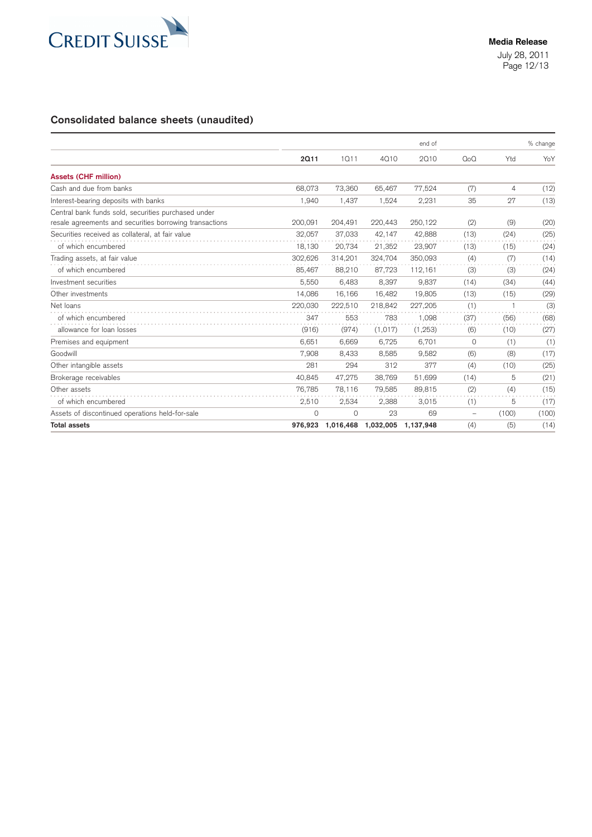

# **Consolidated balance sheets (unaudited)**

|                                                         |         |           |           | end of    |                          |                | % change |
|---------------------------------------------------------|---------|-----------|-----------|-----------|--------------------------|----------------|----------|
|                                                         | 2011    | 1011      | 4010      | 2010      | Q <sub>0</sub> Q         | Ytd            | YoY      |
| <b>Assets (CHF million)</b>                             |         |           |           |           |                          |                |          |
| Cash and due from banks                                 | 68,073  | 73,360    | 65,467    | 77,524    | (7)                      | $\overline{4}$ | (12)     |
| Interest-bearing deposits with banks                    | 1,940   | 1.437     | 1,524     | 2,231     | 35                       | 27             | (13)     |
| Central bank funds sold, securities purchased under     |         |           |           |           |                          |                |          |
| resale agreements and securities borrowing transactions | 200,091 | 204,491   | 220.443   | 250.122   | (2)                      | (9)            | (20)     |
| Securities received as collateral, at fair value        | 32,057  | 37,033    | 42,147    | 42,888    | (13)                     | (24)           | (25)     |
| of which encumbered                                     | 18,130  | 20,734    | 21,352    | 23,907    | (13)                     | (15)           | (24)     |
| Trading assets, at fair value                           | 302,626 | 314,201   | 324,704   | 350,093   | (4)                      | (7)            | (14)     |
| of which encumbered                                     | 85,467  | 88,210    | 87,723    | 112,161   | (3)                      | (3)            | (24)     |
| Investment securities                                   | 5,550   | 6.483     | 8.397     | 9,837     | (14)                     | (34)           | (44)     |
| Other investments                                       | 14,086  | 16.166    | 16.482    | 19,805    | (13)                     | (15)           | (29)     |
| Net loans                                               | 220.030 | 222,510   | 218.842   | 227,205   | (1)                      |                | (3)      |
| of which encumbered                                     | 347     | 553       | 783       | 1,098     | (37)                     | (56)           | (68)     |
| allowance for loan losses                               | (916)   | (974)     | (1, 017)  | (1, 253)  | (6)                      | (10)           | (27)     |
| Premises and equipment                                  | 6,651   | 6,669     | 6,725     | 6,701     | $\Omega$                 | (1)            | (1)      |
| Goodwill                                                | 7,908   | 8,433     | 8,585     | 9,582     | (6)                      | (8)            | (17)     |
| Other intangible assets                                 | 281     | 294       | 312       | 377       | (4)                      | (10)           | (25)     |
| Brokerage receivables                                   | 40,845  | 47,275    | 38,769    | 51,699    | (14)                     | 5              | (21)     |
| Other assets                                            | 76,785  | 78,116    | 79,585    | 89,815    | (2)                      | (4)            | (15)     |
| of which encumbered                                     | 2,510   | 2,534     | 2,388     | 3,015     | (1)                      | 5              | (17)     |
| Assets of discontinued operations held-for-sale         | 0       | $\circ$   | 23        | 69        | $\overline{\phantom{m}}$ | (100)          | (100)    |
| <b>Total assets</b>                                     | 976,923 | 1,016,468 | 1,032,005 | 1,137,948 | (4)                      | (5)            | (14)     |